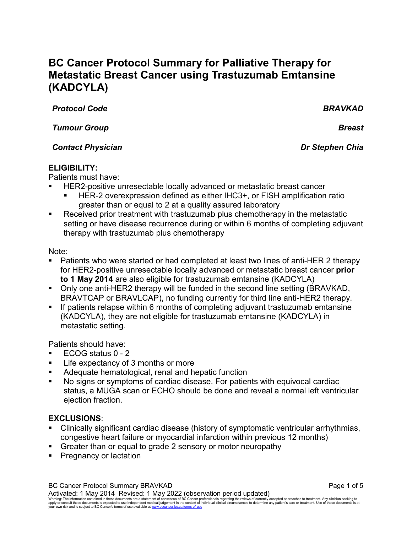# **BC Cancer Protocol Summary for Palliative Therapy for Metastatic Breast Cancer using Trastuzumab Emtansine (KADCYLA)**

*Protocol Code BRAVKAD*

*Tumour Group Breast*

# *Contact Physician Dr Stephen Chia*

# **ELIGIBILITY:**

Patients must have:

- HER2-positive unresectable locally advanced or metastatic breast cancer
	- HER-2 overexpression defined as either IHC3+, or FISH amplification ratio greater than or equal to 2 at a quality assured laboratory
- Received prior treatment with trastuzumab plus chemotherapy in the metastatic setting or have disease recurrence during or within 6 months of completing adjuvant therapy with trastuzumab plus chemotherapy

# Note:

- Patients who were started or had completed at least two lines of anti-HER 2 therapy for HER2-positive unresectable locally advanced or metastatic breast cancer **prior to 1 May 2014** are also eligible for trastuzumab emtansine (KADCYLA)
- Only one anti-HER2 therapy will be funded in the second line setting (BRAVKAD, BRAVTCAP or BRAVLCAP), no funding currently for third line anti-HER2 therapy.
- **If patients relapse within 6 months of completing adjuvant trastuzumab emtansine** (KADCYLA), they are not eligible for trastuzumab emtansine (KADCYLA) in metastatic setting.

Patients should have:

- ECOG status 0 2
- Life expectancy of 3 months or more
- Adequate hematological, renal and hepatic function
- No signs or symptoms of cardiac disease. For patients with equivocal cardiac status, a MUGA scan or ECHO should be done and reveal a normal left ventricular ejection fraction.

# **EXCLUSIONS**:

- Clinically significant cardiac disease (history of symptomatic ventricular arrhythmias, congestive heart failure or myocardial infarction within previous 12 months)
- Greater than or equal to grade 2 sensory or motor neuropathy
- Pregnancy or lactation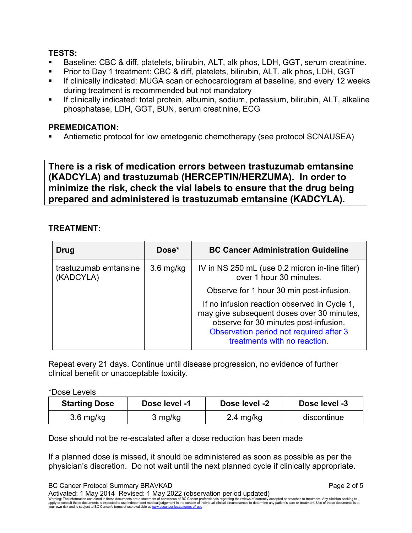# **TESTS:**

- Baseline: CBC & diff, platelets, bilirubin, ALT, alk phos, LDH, GGT, serum creatinine.
- Prior to Day 1 treatment: CBC & diff, platelets, bilirubin, ALT, alk phos, LDH, GGT
- If clinically indicated: MUGA scan or echocardiogram at baseline, and every 12 weeks during treatment is recommended but not mandatory
- If clinically indicated: total protein, albumin, sodium, potassium, bilirubin, ALT, alkaline phosphatase, LDH, GGT, BUN, serum creatinine, ECG

# **PREMEDICATION:**

Antiemetic protocol for low emetogenic chemotherapy (see protocol SCNAUSEA)

**There is a risk of medication errors between trastuzumab emtansine (KADCYLA) and trastuzumab (HERCEPTIN/HERZUMA). In order to minimize the risk, check the vial labels to ensure that the drug being prepared and administered is trastuzumab emtansine (KADCYLA).**

# **TREATMENT:**

| Drug                               | Dose*       | <b>BC Cancer Administration Guideline</b>                                                                                                                                                                      |
|------------------------------------|-------------|----------------------------------------------------------------------------------------------------------------------------------------------------------------------------------------------------------------|
| trastuzumab emtansine<br>(KADCYLA) | $3.6$ mg/kg | IV in NS 250 mL (use 0.2 micron in-line filter)<br>over 1 hour 30 minutes.                                                                                                                                     |
|                                    |             | Observe for 1 hour 30 min post-infusion.                                                                                                                                                                       |
|                                    |             | If no infusion reaction observed in Cycle 1,<br>may give subsequent doses over 30 minutes,<br>observe for 30 minutes post-infusion.<br>Observation period not required after 3<br>treatments with no reaction. |

Repeat every 21 days. Continue until disease progression, no evidence of further clinical benefit or unacceptable toxicity.

#### \*Dose Levels

| <b>Starting Dose</b> | Dose level -1 | Dose level -2       | Dose level -3 |
|----------------------|---------------|---------------------|---------------|
| $3.6$ mg/kg          | 3 mg/kg       | $2.4 \text{ mg/kg}$ | discontinue   |

Dose should not be re-escalated after a dose reduction has been made

If a planned dose is missed, it should be administered as soon as possible as per the physician's discretion. Do not wait until the next planned cycle if clinically appropriate.

BC Cancer Protocol Summary BRAVKAD **Page 2 of 5** and 2 of 5 Activated: 1 May 2014 Revised: 1 May 2022 (observation period updated)

Warning: The information contained in these documents are a statement of consensus of BC Cancer professionals regarding their views of currently accepted approaches to treatment. Any clinician seeking to<br>apply or consult t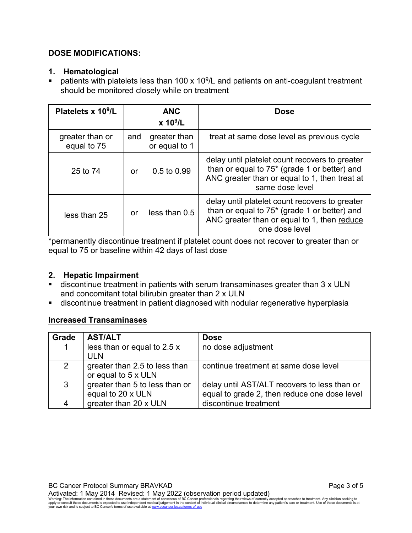# **DOSE MODIFICATIONS:**

#### **1. Hematological**

patients with platelets less than 100 x 10 $9$ /L and patients on anti-coagulant treatment should be monitored closely while on treatment

| Platelets x 10 <sup>9</sup> /L |     | <b>ANC</b><br>x 10 <sup>9</sup> /L | <b>Dose</b>                                                                                                                                                                    |
|--------------------------------|-----|------------------------------------|--------------------------------------------------------------------------------------------------------------------------------------------------------------------------------|
| greater than or<br>equal to 75 | and | greater than<br>or equal to 1      | treat at same dose level as previous cycle                                                                                                                                     |
| 25 to 74                       | or  | $0.5$ to $0.99$                    | delay until platelet count recovers to greater<br>than or equal to 75 <sup>*</sup> (grade 1 or better) and<br>ANC greater than or equal to 1, then treat at<br>same dose level |
| less than 25                   | or  | less than 0.5                      | delay until platelet count recovers to greater<br>than or equal to $75*$ (grade 1 or better) and<br>ANC greater than or equal to 1, then reduce<br>one dose level              |

\*permanently discontinue treatment if platelet count does not recover to greater than or equal to 75 or baseline within 42 days of last dose

# **2. Hepatic Impairment**

- discontinue treatment in patients with serum transaminases greater than 3 x ULN and concomitant total bilirubin greater than 2 x ULN
- discontinue treatment in patient diagnosed with nodular regenerative hyperplasia

# **Increased Transaminases**

| Grade          | <b>AST/ALT</b>                 | <b>Dose</b>                                  |
|----------------|--------------------------------|----------------------------------------------|
|                | less than or equal to 2.5 x    | no dose adjustment                           |
|                | <b>ULN</b>                     |                                              |
| $\overline{2}$ | greater than 2.5 to less than  | continue treatment at same dose level        |
|                | or equal to 5 x ULN            |                                              |
| 3              | greater than 5 to less than or | delay until AST/ALT recovers to less than or |
|                | equal to 20 x ULN              | equal to grade 2, then reduce one dose level |
|                | greater than 20 x ULN          | discontinue treatment                        |

Warning: The information contained in these documents are a statement of consensus of BC Cancer professionals regarding their views of currently accepted approaches to treatment. Any clinician seeking to<br>apply or consult t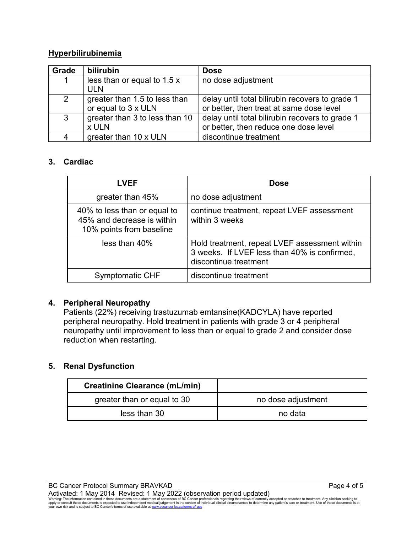## **Hyperbilirubinemia**

| Grade          | <b>bilirubin</b>                                     | <b>Dose</b>                                                                                 |
|----------------|------------------------------------------------------|---------------------------------------------------------------------------------------------|
| 1              | less than or equal to 1.5 x<br><b>ULN</b>            | no dose adjustment                                                                          |
| $\overline{2}$ | greater than 1.5 to less than<br>or equal to 3 x ULN | delay until total bilirubin recovers to grade 1<br>or better, then treat at same dose level |
| $\mathbf{3}$   | greater than 3 to less than 10<br>x ULN              | delay until total bilirubin recovers to grade 1<br>or better, then reduce one dose level    |
|                | greater than 10 x ULN                                | discontinue treatment                                                                       |

#### **3. Cardiac**

| <b>LVEF</b>                                                                            | <b>Dose</b>                                                                                                            |
|----------------------------------------------------------------------------------------|------------------------------------------------------------------------------------------------------------------------|
| greater than 45%                                                                       | no dose adjustment                                                                                                     |
| 40% to less than or equal to<br>45% and decrease is within<br>10% points from baseline | continue treatment, repeat LVEF assessment<br>within 3 weeks                                                           |
| less than 40%                                                                          | Hold treatment, repeat LVEF assessment within<br>3 weeks. If LVEF less than 40% is confirmed,<br>discontinue treatment |
| <b>Symptomatic CHF</b>                                                                 | discontinue treatment                                                                                                  |

#### **4. Peripheral Neuropathy**

Patients (22%) receiving trastuzumab emtansine(KADCYLA) have reported peripheral neuropathy. Hold treatment in patients with grade 3 or 4 peripheral neuropathy until improvement to less than or equal to grade 2 and consider dose reduction when restarting.

# **5. Renal Dysfunction**

| <b>Creatinine Clearance (mL/min)</b> |                    |
|--------------------------------------|--------------------|
| greater than or equal to 30          | no dose adjustment |
| less than 30                         | no data            |

BC Cancer Protocol Summary BRAVKAD **Page 4 of 5** and 2011 11 and 2012 12:30 Page 4 of 5

Activated: 1 May 2014 Revised: 1 May 2022 (observation period updated)<br>Warning: The information contained in these documents are a statement of consensus of BC Cancer professionals regarding their views of currently accept